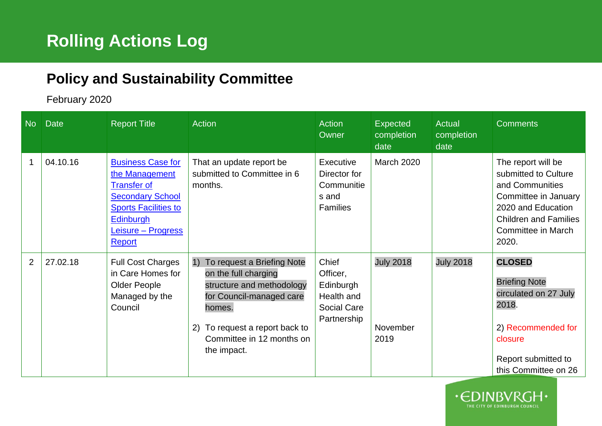## **Policy and Sustainability Committee**

## February 2020

| <b>No</b>      | <b>Date</b> | Report Title                                                                                                                                                                   | <b>Action</b>                                                                                                                                                                                                | Action<br>Owner                                                                   | Expected<br>completion<br>date       | <b>Actual</b><br>completion<br>date | <b>Comments</b>                                                                                                                                                                   |
|----------------|-------------|--------------------------------------------------------------------------------------------------------------------------------------------------------------------------------|--------------------------------------------------------------------------------------------------------------------------------------------------------------------------------------------------------------|-----------------------------------------------------------------------------------|--------------------------------------|-------------------------------------|-----------------------------------------------------------------------------------------------------------------------------------------------------------------------------------|
|                | 04.10.16    | <b>Business Case for</b><br>the Management<br><b>Transfer of</b><br><b>Secondary School</b><br><b>Sports Facilities to</b><br><b>Edinburgh</b><br>Leisure - Progress<br>Report | That an update report be<br>submitted to Committee in 6<br>months.                                                                                                                                           | Executive<br>Director for<br>Communitie<br>s and<br><b>Families</b>               | <b>March 2020</b>                    |                                     | The report will be<br>submitted to Culture<br>and Communities<br>Committee in January<br>2020 and Education<br><b>Children and Families</b><br><b>Committee in March</b><br>2020. |
| $\overline{2}$ | 27.02.18    | <b>Full Cost Charges</b><br>in Care Homes for<br>Older People<br>Managed by the<br>Council                                                                                     | To request a Briefing Note<br>1)<br>on the full charging<br>structure and methodology<br>for Council-managed care<br>homes.<br>To request a report back to<br>2)<br>Committee in 12 months on<br>the impact. | Chief<br>Officer,<br>Edinburgh<br>Health and<br><b>Social Care</b><br>Partnership | <b>July 2018</b><br>November<br>2019 | <b>July 2018</b>                    | <b>CLOSED</b><br><b>Briefing Note</b><br>circulated on 27 July<br>2018.<br>2) Recommended for<br>closure<br>Report submitted to<br>this Committee on 26                           |

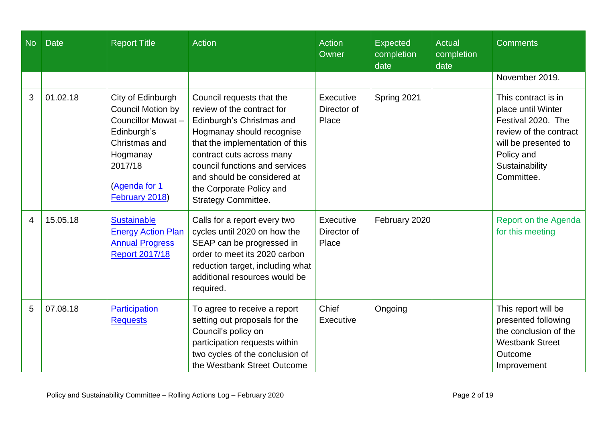| <b>No</b> | <b>Date</b> | <b>Report Title</b>                                                                                                                                          | Action                                                                                                                                                                                                                                                                                                       | <b>Action</b><br>Owner            | <b>Expected</b><br>completion<br>date | <b>Actual</b><br>completion<br>date | <b>Comments</b>                                                                                                                                                 |
|-----------|-------------|--------------------------------------------------------------------------------------------------------------------------------------------------------------|--------------------------------------------------------------------------------------------------------------------------------------------------------------------------------------------------------------------------------------------------------------------------------------------------------------|-----------------------------------|---------------------------------------|-------------------------------------|-----------------------------------------------------------------------------------------------------------------------------------------------------------------|
|           |             |                                                                                                                                                              |                                                                                                                                                                                                                                                                                                              |                                   |                                       |                                     | November 2019.                                                                                                                                                  |
| 3         | 01.02.18    | City of Edinburgh<br><b>Council Motion by</b><br>Councillor Mowat-<br>Edinburgh's<br>Christmas and<br>Hogmanay<br>2017/18<br>(Agenda for 1<br>February 2018) | Council requests that the<br>review of the contract for<br>Edinburgh's Christmas and<br>Hogmanay should recognise<br>that the implementation of this<br>contract cuts across many<br>council functions and services<br>and should be considered at<br>the Corporate Policy and<br><b>Strategy Committee.</b> | Executive<br>Director of<br>Place | Spring 2021                           |                                     | This contract is in<br>place until Winter<br>Festival 2020. The<br>review of the contract<br>will be presented to<br>Policy and<br>Sustainability<br>Committee. |
| 4         | 15.05.18    | <b>Sustainable</b><br><b>Energy Action Plan</b><br><b>Annual Progress</b><br><b>Report 2017/18</b>                                                           | Calls for a report every two<br>cycles until 2020 on how the<br>SEAP can be progressed in<br>order to meet its 2020 carbon<br>reduction target, including what<br>additional resources would be<br>required.                                                                                                 | Executive<br>Director of<br>Place | February 2020                         |                                     | Report on the Agenda<br>for this meeting                                                                                                                        |
| 5         | 07.08.18    | Participation<br><b>Requests</b>                                                                                                                             | To agree to receive a report<br>setting out proposals for the<br>Council's policy on<br>participation requests within<br>two cycles of the conclusion of<br>the Westbank Street Outcome                                                                                                                      | Chief<br>Executive                | Ongoing                               |                                     | This report will be<br>presented following<br>the conclusion of the<br><b>Westbank Street</b><br>Outcome<br>Improvement                                         |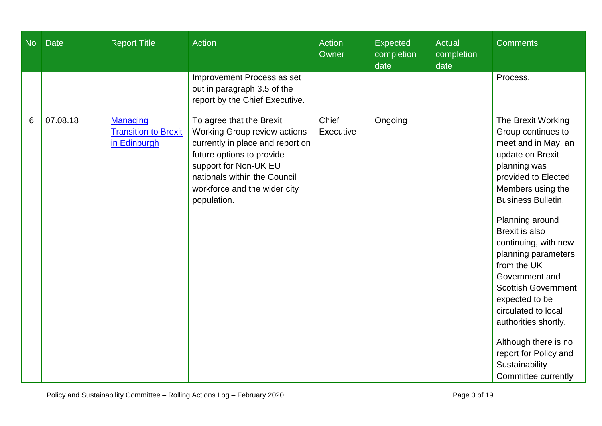| date<br>date                                                                                                                                                                                                                                                                                                                                                 |                                                                                                                                                                                                                                                                                                                                                                                                                                                                                                   |
|--------------------------------------------------------------------------------------------------------------------------------------------------------------------------------------------------------------------------------------------------------------------------------------------------------------------------------------------------------------|---------------------------------------------------------------------------------------------------------------------------------------------------------------------------------------------------------------------------------------------------------------------------------------------------------------------------------------------------------------------------------------------------------------------------------------------------------------------------------------------------|
| Improvement Process as set<br>out in paragraph 3.5 of the<br>report by the Chief Executive.                                                                                                                                                                                                                                                                  | Process.                                                                                                                                                                                                                                                                                                                                                                                                                                                                                          |
| 07.08.18<br>Chief<br>To agree that the Brexit<br>Ongoing<br>6<br><b>Managing</b><br><b>Transition to Brexit</b><br><b>Working Group review actions</b><br>Executive<br>in Edinburgh<br>currently in place and report on<br>future options to provide<br>support for Non-UK EU<br>nationals within the Council<br>workforce and the wider city<br>population. | The Brexit Working<br>Group continues to<br>meet and in May, an<br>update on Brexit<br>planning was<br>provided to Elected<br>Members using the<br><b>Business Bulletin.</b><br>Planning around<br><b>Brexit is also</b><br>continuing, with new<br>planning parameters<br>from the UK<br>Government and<br><b>Scottish Government</b><br>expected to be<br>circulated to local<br>authorities shortly.<br>Although there is no<br>report for Policy and<br>Sustainability<br>Committee currently |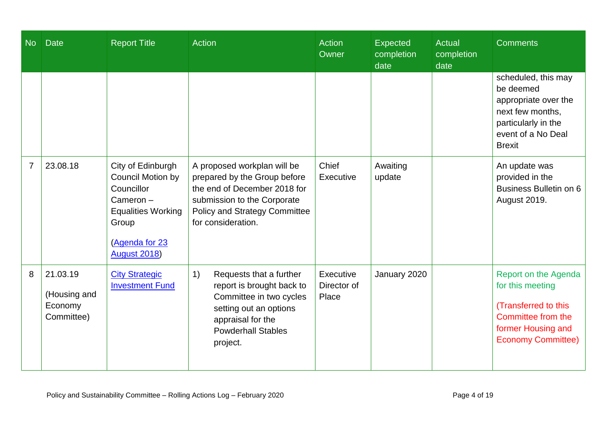| <b>No</b>      | <b>Date</b>                                       | <b>Report Title</b>                                                                                                                                           | Action                                                                                                                                                                                   | <b>Action</b><br>Owner            | <b>Expected</b><br>completion<br>date | <b>Actual</b><br>completion<br>date | <b>Comments</b>                                                                                                                            |
|----------------|---------------------------------------------------|---------------------------------------------------------------------------------------------------------------------------------------------------------------|------------------------------------------------------------------------------------------------------------------------------------------------------------------------------------------|-----------------------------------|---------------------------------------|-------------------------------------|--------------------------------------------------------------------------------------------------------------------------------------------|
|                |                                                   |                                                                                                                                                               |                                                                                                                                                                                          |                                   |                                       |                                     | scheduled, this may<br>be deemed<br>appropriate over the<br>next few months,<br>particularly in the<br>event of a No Deal<br><b>Brexit</b> |
| $\overline{7}$ | 23.08.18                                          | City of Edinburgh<br><b>Council Motion by</b><br>Councillor<br>$C$ ameron $-$<br><b>Equalities Working</b><br>Group<br>(Agenda for 23<br><b>August 2018</b> ) | A proposed workplan will be<br>prepared by the Group before<br>the end of December 2018 for<br>submission to the Corporate<br><b>Policy and Strategy Committee</b><br>for consideration. | Chief<br>Executive                | Awaiting<br>update                    |                                     | An update was<br>provided in the<br>Business Bulletin on 6<br><b>August 2019.</b>                                                          |
| 8              | 21.03.19<br>(Housing and<br>Economy<br>Committee) | <b>City Strategic</b><br><b>Investment Fund</b>                                                                                                               | 1)<br>Requests that a further<br>report is brought back to<br>Committee in two cycles<br>setting out an options<br>appraisal for the<br><b>Powderhall Stables</b><br>project.            | Executive<br>Director of<br>Place | January 2020                          |                                     | Report on the Agenda<br>for this meeting<br>(Transferred to this<br>Committee from the<br>former Housing and<br><b>Economy Committee)</b>  |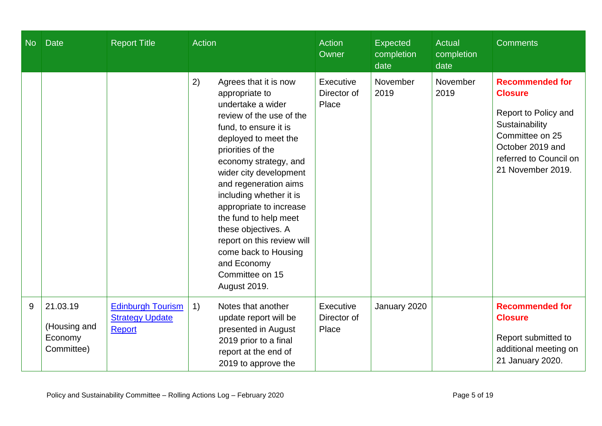| No | <b>Date</b>                                       | <b>Report Title</b>                                                 | <b>Action</b>                                                                                                                                                                                                                                                                                                                                                                                                                                                         | <b>Action</b><br>Owner            | <b>Expected</b><br>completion<br>date | <b>Actual</b><br>completion<br>date | <b>Comments</b>                                                                                                                                                          |
|----|---------------------------------------------------|---------------------------------------------------------------------|-----------------------------------------------------------------------------------------------------------------------------------------------------------------------------------------------------------------------------------------------------------------------------------------------------------------------------------------------------------------------------------------------------------------------------------------------------------------------|-----------------------------------|---------------------------------------|-------------------------------------|--------------------------------------------------------------------------------------------------------------------------------------------------------------------------|
|    |                                                   |                                                                     | 2)<br>Agrees that it is now<br>appropriate to<br>undertake a wider<br>review of the use of the<br>fund, to ensure it is<br>deployed to meet the<br>priorities of the<br>economy strategy, and<br>wider city development<br>and regeneration aims<br>including whether it is<br>appropriate to increase<br>the fund to help meet<br>these objectives. A<br>report on this review will<br>come back to Housing<br>and Economy<br>Committee on 15<br><b>August 2019.</b> | Executive<br>Director of<br>Place | November<br>2019                      | November<br>2019                    | <b>Recommended for</b><br><b>Closure</b><br>Report to Policy and<br>Sustainability<br>Committee on 25<br>October 2019 and<br>referred to Council on<br>21 November 2019. |
| 9  | 21.03.19<br>(Housing and<br>Economy<br>Committee) | <b>Edinburgh Tourism</b><br><b>Strategy Update</b><br><b>Report</b> | 1)<br>Notes that another<br>update report will be<br>presented in August<br>2019 prior to a final<br>report at the end of<br>2019 to approve the                                                                                                                                                                                                                                                                                                                      | Executive<br>Director of<br>Place | January 2020                          |                                     | <b>Recommended for</b><br><b>Closure</b><br>Report submitted to<br>additional meeting on<br>21 January 2020.                                                             |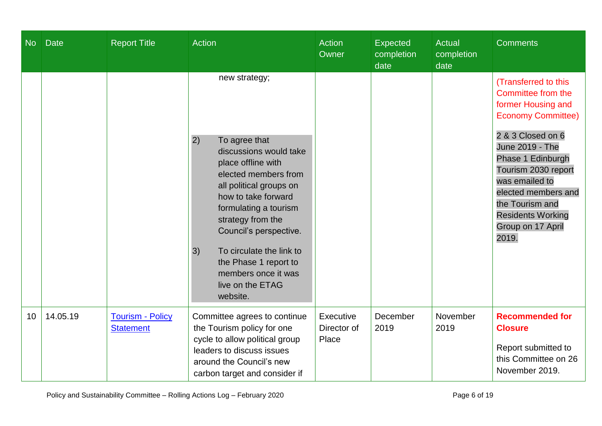| <b>No</b> | <b>Date</b> | <b>Report Title</b>                         | <b>Action</b>                                                                                                                                                                                                                                                                                                                                            | <b>Action</b><br>Owner            | <b>Expected</b><br>completion<br>date | <b>Actual</b><br>completion<br>date | <b>Comments</b>                                                                                                                                                                                                                                                                                         |
|-----------|-------------|---------------------------------------------|----------------------------------------------------------------------------------------------------------------------------------------------------------------------------------------------------------------------------------------------------------------------------------------------------------------------------------------------------------|-----------------------------------|---------------------------------------|-------------------------------------|---------------------------------------------------------------------------------------------------------------------------------------------------------------------------------------------------------------------------------------------------------------------------------------------------------|
|           |             |                                             | new strategy;<br>To agree that<br>2)<br>discussions would take<br>place offline with<br>elected members from<br>all political groups on<br>how to take forward<br>formulating a tourism<br>strategy from the<br>Council's perspective.<br>3)<br>To circulate the link to<br>the Phase 1 report to<br>members once it was<br>live on the ETAG<br>website. |                                   |                                       |                                     | (Transferred to this<br>Committee from the<br>former Housing and<br><b>Economy Committee)</b><br>2 & 3 Closed on 6<br>June 2019 - The<br>Phase 1 Edinburgh<br>Tourism 2030 report<br>was emailed to<br>elected members and<br>the Tourism and<br><b>Residents Working</b><br>Group on 17 April<br>2019. |
| 10        | 14.05.19    | <b>Tourism - Policy</b><br><b>Statement</b> | Committee agrees to continue<br>the Tourism policy for one<br>cycle to allow political group<br>leaders to discuss issues<br>around the Council's new<br>carbon target and consider if                                                                                                                                                                   | Executive<br>Director of<br>Place | December<br>2019                      | November<br>2019                    | <b>Recommended for</b><br><b>Closure</b><br>Report submitted to<br>this Committee on 26<br>November 2019.                                                                                                                                                                                               |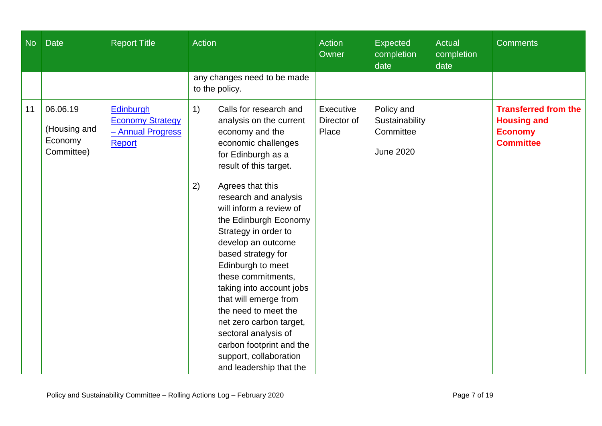| <b>No</b> | <b>Date</b>                                       | <b>Report Title</b>                                                        | <b>Action</b>                                                                                                                                                                                                                                                                                                                                                                                                                                                                                                                                                                            | <b>Action</b><br>Owner            | <b>Expected</b><br>completion<br>date                         | <b>Actual</b><br>completion<br>date | <b>Comments</b>                                                                         |
|-----------|---------------------------------------------------|----------------------------------------------------------------------------|------------------------------------------------------------------------------------------------------------------------------------------------------------------------------------------------------------------------------------------------------------------------------------------------------------------------------------------------------------------------------------------------------------------------------------------------------------------------------------------------------------------------------------------------------------------------------------------|-----------------------------------|---------------------------------------------------------------|-------------------------------------|-----------------------------------------------------------------------------------------|
|           |                                                   |                                                                            | any changes need to be made<br>to the policy.                                                                                                                                                                                                                                                                                                                                                                                                                                                                                                                                            |                                   |                                                               |                                     |                                                                                         |
| 11        | 06.06.19<br>(Housing and<br>Economy<br>Committee) | Edinburgh<br><b>Economy Strategy</b><br>- Annual Progress<br><b>Report</b> | Calls for research and<br>1)<br>analysis on the current<br>economy and the<br>economic challenges<br>for Edinburgh as a<br>result of this target.<br>Agrees that this<br>2)<br>research and analysis<br>will inform a review of<br>the Edinburgh Economy<br>Strategy in order to<br>develop an outcome<br>based strategy for<br>Edinburgh to meet<br>these commitments,<br>taking into account jobs<br>that will emerge from<br>the need to meet the<br>net zero carbon target,<br>sectoral analysis of<br>carbon footprint and the<br>support, collaboration<br>and leadership that the | Executive<br>Director of<br>Place | Policy and<br>Sustainability<br>Committee<br><b>June 2020</b> |                                     | <b>Transferred from the</b><br><b>Housing and</b><br><b>Economy</b><br><b>Committee</b> |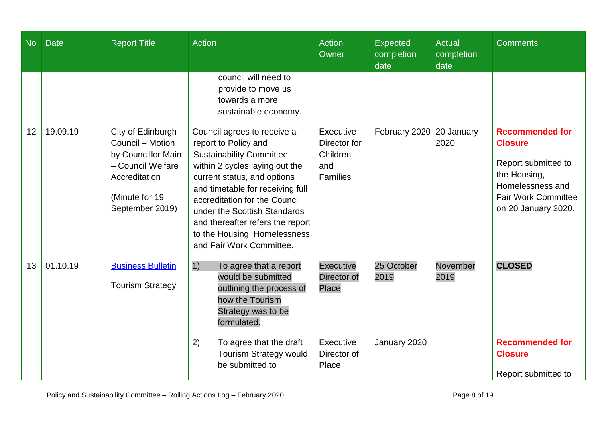|    |          |                                                                                                                                        |                                                                                                                                                                                                                                                                                                                                                              | <b>Action</b><br>Owner                                                        | <b>Expected</b><br>completion<br>date | Actual<br>completion<br>date | <b>Comments</b>                                                                                                                                          |
|----|----------|----------------------------------------------------------------------------------------------------------------------------------------|--------------------------------------------------------------------------------------------------------------------------------------------------------------------------------------------------------------------------------------------------------------------------------------------------------------------------------------------------------------|-------------------------------------------------------------------------------|---------------------------------------|------------------------------|----------------------------------------------------------------------------------------------------------------------------------------------------------|
|    |          |                                                                                                                                        | council will need to<br>provide to move us<br>towards a more<br>sustainable economy.                                                                                                                                                                                                                                                                         |                                                                               |                                       |                              |                                                                                                                                                          |
| 12 | 19.09.19 | City of Edinburgh<br>Council - Motion<br>by Councillor Main<br>- Council Welfare<br>Accreditation<br>(Minute for 19<br>September 2019) | Council agrees to receive a<br>report to Policy and<br><b>Sustainability Committee</b><br>within 2 cycles laying out the<br>current status, and options<br>and timetable for receiving full<br>accreditation for the Council<br>under the Scottish Standards<br>and thereafter refers the report<br>to the Housing, Homelessness<br>and Fair Work Committee. | Executive<br>Director for<br>Children<br>and<br><b>Families</b>               | February 2020                         | 20 January<br>2020           | <b>Recommended for</b><br><b>Closure</b><br>Report submitted to<br>the Housing,<br>Homelessness and<br><b>Fair Work Committee</b><br>on 20 January 2020. |
| 13 | 01.10.19 | <b>Business Bulletin</b><br><b>Tourism Strategy</b>                                                                                    | 1)<br>To agree that a report<br>would be submitted<br>outlining the process of<br>how the Tourism<br>Strategy was to be<br>formulated.<br>2)<br>To agree that the draft<br><b>Tourism Strategy would</b><br>be submitted to                                                                                                                                  | <b>Executive</b><br>Director of<br>Place<br>Executive<br>Director of<br>Place | 25 October<br>2019<br>January 2020    | November<br>2019             | <b>CLOSED</b><br><b>Recommended for</b><br><b>Closure</b><br>Report submitted to                                                                         |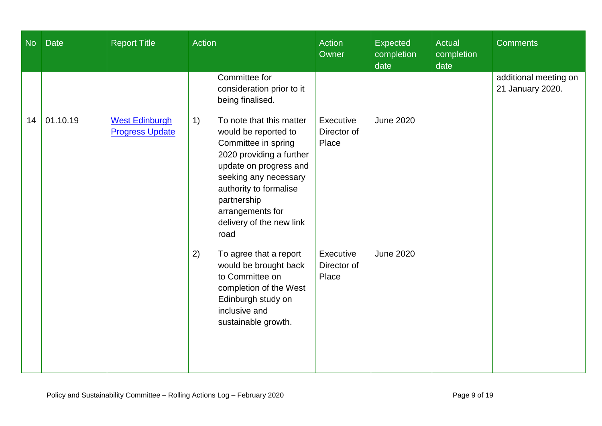| <b>No</b> | <b>Date</b> | <b>Report Title</b>                             | Action                                                                                                                                                                                                                                                        | Action<br>Owner                   | Expected<br>completion<br>date | Actual<br>completion<br>date | <b>Comments</b>                           |
|-----------|-------------|-------------------------------------------------|---------------------------------------------------------------------------------------------------------------------------------------------------------------------------------------------------------------------------------------------------------------|-----------------------------------|--------------------------------|------------------------------|-------------------------------------------|
|           |             |                                                 | Committee for<br>consideration prior to it<br>being finalised.                                                                                                                                                                                                |                                   |                                |                              | additional meeting on<br>21 January 2020. |
| 14        | 01.10.19    | <b>West Edinburgh</b><br><b>Progress Update</b> | To note that this matter<br>1)<br>would be reported to<br>Committee in spring<br>2020 providing a further<br>update on progress and<br>seeking any necessary<br>authority to formalise<br>partnership<br>arrangements for<br>delivery of the new link<br>road | Executive<br>Director of<br>Place | <b>June 2020</b>               |                              |                                           |
|           |             |                                                 | 2)<br>To agree that a report<br>would be brought back<br>to Committee on<br>completion of the West<br>Edinburgh study on<br>inclusive and<br>sustainable growth.                                                                                              | Executive<br>Director of<br>Place | <b>June 2020</b>               |                              |                                           |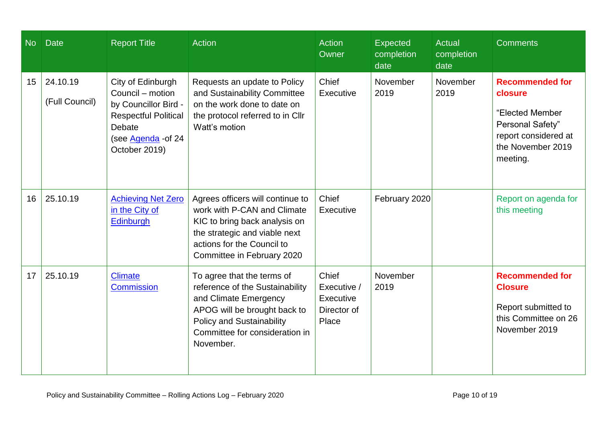| <b>No</b> | <b>Date</b>                | <b>Report Title</b>                                                                                                                            | Action                                                                                                                                                                                                    | <b>Action</b><br>Owner                                    | <b>Expected</b><br>completion<br>date | <b>Actual</b><br>completion<br>date | <b>Comments</b>                                                                                                                   |
|-----------|----------------------------|------------------------------------------------------------------------------------------------------------------------------------------------|-----------------------------------------------------------------------------------------------------------------------------------------------------------------------------------------------------------|-----------------------------------------------------------|---------------------------------------|-------------------------------------|-----------------------------------------------------------------------------------------------------------------------------------|
| 15        | 24.10.19<br>(Full Council) | City of Edinburgh<br>Council – motion<br>by Councillor Bird -<br><b>Respectful Political</b><br>Debate<br>(see Agenda - of 24<br>October 2019) | Requests an update to Policy<br>and Sustainability Committee<br>on the work done to date on<br>the protocol referred to in Cllr<br>Watt's motion                                                          | Chief<br>Executive                                        | November<br>2019                      | November<br>2019                    | <b>Recommended for</b><br>closure<br>"Elected Member<br>Personal Safety"<br>report considered at<br>the November 2019<br>meeting. |
| 16        | 25.10.19                   | <b>Achieving Net Zero</b><br>in the City of<br><b>Edinburgh</b>                                                                                | Agrees officers will continue to<br>work with P-CAN and Climate<br>KIC to bring back analysis on<br>the strategic and viable next<br>actions for the Council to<br>Committee in February 2020             | Chief<br>Executive                                        | February 2020                         |                                     | Report on agenda for<br>this meeting                                                                                              |
| 17        | 25.10.19                   | <b>Climate</b><br><b>Commission</b>                                                                                                            | To agree that the terms of<br>reference of the Sustainability<br>and Climate Emergency<br>APOG will be brought back to<br><b>Policy and Sustainability</b><br>Committee for consideration in<br>November. | Chief<br>Executive /<br>Executive<br>Director of<br>Place | November<br>2019                      |                                     | <b>Recommended for</b><br><b>Closure</b><br>Report submitted to<br>this Committee on 26<br>November 2019                          |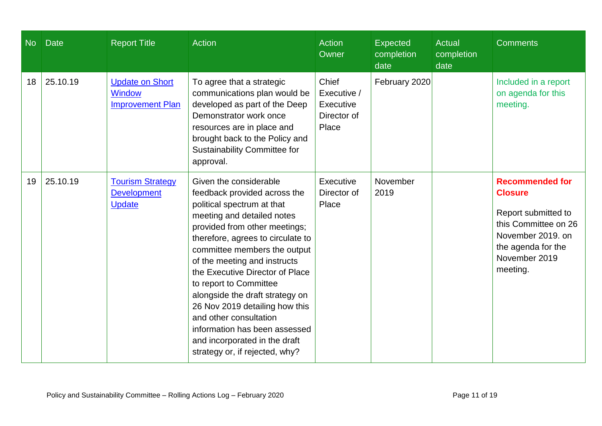| N <sub>o</sub> | <b>Date</b> | <b>Report Title</b>                                                | <b>Action</b>                                                                                                                                                                                                                                                                                                                                                                                                                                                                                                            | Action<br>Owner                                           | <b>Expected</b><br>completion<br>date | Actual<br>completion<br>date | <b>Comments</b>                                                                                                                                                 |
|----------------|-------------|--------------------------------------------------------------------|--------------------------------------------------------------------------------------------------------------------------------------------------------------------------------------------------------------------------------------------------------------------------------------------------------------------------------------------------------------------------------------------------------------------------------------------------------------------------------------------------------------------------|-----------------------------------------------------------|---------------------------------------|------------------------------|-----------------------------------------------------------------------------------------------------------------------------------------------------------------|
| 18             | 25.10.19    | <b>Update on Short</b><br><b>Window</b><br><b>Improvement Plan</b> | To agree that a strategic<br>communications plan would be<br>developed as part of the Deep<br>Demonstrator work once<br>resources are in place and<br>brought back to the Policy and<br>Sustainability Committee for<br>approval.                                                                                                                                                                                                                                                                                        | Chief<br>Executive /<br>Executive<br>Director of<br>Place | February 2020                         |                              | Included in a report<br>on agenda for this<br>meeting.                                                                                                          |
| 19             | 25.10.19    | <b>Tourism Strategy</b><br><b>Development</b><br><b>Update</b>     | Given the considerable<br>feedback provided across the<br>political spectrum at that<br>meeting and detailed notes<br>provided from other meetings;<br>therefore, agrees to circulate to<br>committee members the output<br>of the meeting and instructs<br>the Executive Director of Place<br>to report to Committee<br>alongside the draft strategy on<br>26 Nov 2019 detailing how this<br>and other consultation<br>information has been assessed<br>and incorporated in the draft<br>strategy or, if rejected, why? | Executive<br>Director of<br>Place                         | November<br>2019                      |                              | <b>Recommended for</b><br><b>Closure</b><br>Report submitted to<br>this Committee on 26<br>November 2019. on<br>the agenda for the<br>November 2019<br>meeting. |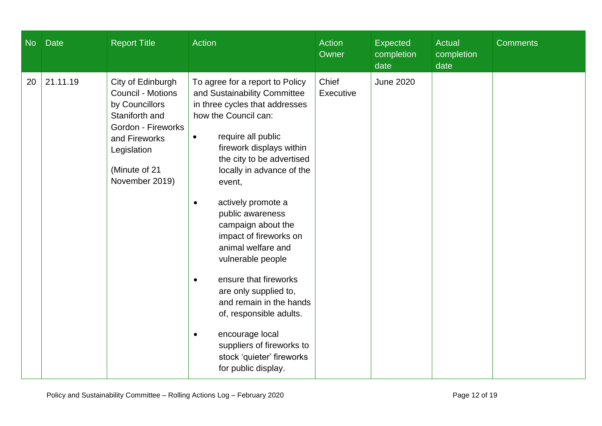| No | <b>Date</b> | <b>Report Title</b>                                                                                                                                                        | Action                                                                                                                                                                                                                                                                                                                                                                                                                                                                                                                                                                                                                     | <b>Action</b><br>Owner | Expected<br>completion<br>date | <b>Actual</b><br>completion<br>date | <b>Comments</b> |
|----|-------------|----------------------------------------------------------------------------------------------------------------------------------------------------------------------------|----------------------------------------------------------------------------------------------------------------------------------------------------------------------------------------------------------------------------------------------------------------------------------------------------------------------------------------------------------------------------------------------------------------------------------------------------------------------------------------------------------------------------------------------------------------------------------------------------------------------------|------------------------|--------------------------------|-------------------------------------|-----------------|
| 20 | 21.11.19    | City of Edinburgh<br><b>Council - Motions</b><br>by Councillors<br>Staniforth and<br>Gordon - Fireworks<br>and Fireworks<br>Legislation<br>(Minute of 21<br>November 2019) | To agree for a report to Policy<br>and Sustainability Committee<br>in three cycles that addresses<br>how the Council can:<br>require all public<br>$\bullet$<br>firework displays within<br>the city to be advertised<br>locally in advance of the<br>event,<br>actively promote a<br>public awareness<br>campaign about the<br>impact of fireworks on<br>animal welfare and<br>vulnerable people<br>ensure that fireworks<br>$\bullet$<br>are only supplied to,<br>and remain in the hands<br>of, responsible adults.<br>encourage local<br>suppliers of fireworks to<br>stock 'quieter' fireworks<br>for public display. | Chief<br>Executive     | <b>June 2020</b>               |                                     |                 |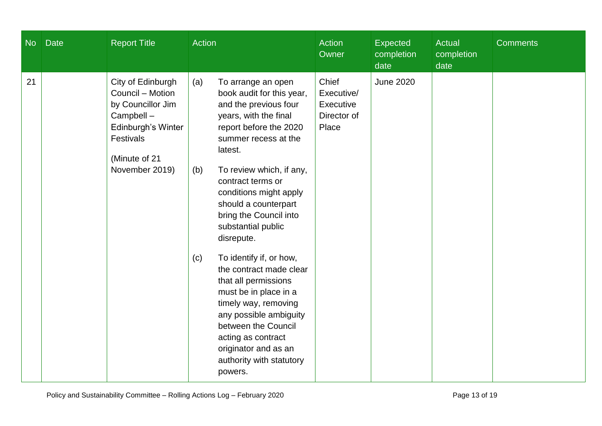| $\overline{\text{No}}$ | <b>Date</b> | <b>Report Title</b>                                                                                                                           | Action                                                                                                                                                                                                                                                                                                                                                                                                                                                                                                                                                                                                                    | <b>Action</b><br>Owner                                   | <b>Expected</b><br>completion<br>date | <b>Actual</b><br>completion<br>date | <b>Comments</b> |
|------------------------|-------------|-----------------------------------------------------------------------------------------------------------------------------------------------|---------------------------------------------------------------------------------------------------------------------------------------------------------------------------------------------------------------------------------------------------------------------------------------------------------------------------------------------------------------------------------------------------------------------------------------------------------------------------------------------------------------------------------------------------------------------------------------------------------------------------|----------------------------------------------------------|---------------------------------------|-------------------------------------|-----------------|
| 21                     |             | City of Edinburgh<br>Council - Motion<br>by Councillor Jim<br>Campbell-<br>Edinburgh's Winter<br>Festivals<br>(Minute of 21<br>November 2019) | (a)<br>To arrange an open<br>book audit for this year,<br>and the previous four<br>years, with the final<br>report before the 2020<br>summer recess at the<br>latest.<br>To review which, if any,<br>(b)<br>contract terms or<br>conditions might apply<br>should a counterpart<br>bring the Council into<br>substantial public<br>disrepute.<br>To identify if, or how,<br>(c)<br>the contract made clear<br>that all permissions<br>must be in place in a<br>timely way, removing<br>any possible ambiguity<br>between the Council<br>acting as contract<br>originator and as an<br>authority with statutory<br>powers. | Chief<br>Executive/<br>Executive<br>Director of<br>Place | <b>June 2020</b>                      |                                     |                 |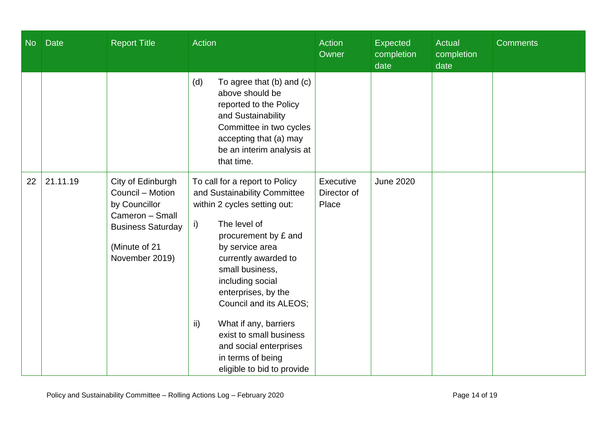| <b>No</b> | <b>Date</b> | <b>Report Title</b>                                                                                                                      | <b>Action</b>                                                                                                                                                                                                                                                                                                                                                                                                                     | Action<br>Owner                   | Expected<br>completion<br>date | <b>Actual</b><br>completion<br>date | <b>Comments</b> |
|-----------|-------------|------------------------------------------------------------------------------------------------------------------------------------------|-----------------------------------------------------------------------------------------------------------------------------------------------------------------------------------------------------------------------------------------------------------------------------------------------------------------------------------------------------------------------------------------------------------------------------------|-----------------------------------|--------------------------------|-------------------------------------|-----------------|
|           |             |                                                                                                                                          | (d)<br>To agree that $(b)$ and $(c)$<br>above should be<br>reported to the Policy<br>and Sustainability<br>Committee in two cycles<br>accepting that (a) may<br>be an interim analysis at<br>that time.                                                                                                                                                                                                                           |                                   |                                |                                     |                 |
| 22        | 21.11.19    | City of Edinburgh<br>Council - Motion<br>by Councillor<br>Cameron - Small<br><b>Business Saturday</b><br>(Minute of 21<br>November 2019) | To call for a report to Policy<br>and Sustainability Committee<br>within 2 cycles setting out:<br>The level of<br>i)<br>procurement by £ and<br>by service area<br>currently awarded to<br>small business,<br>including social<br>enterprises, by the<br>Council and its ALEOS;<br>$\mathsf{ii}$<br>What if any, barriers<br>exist to small business<br>and social enterprises<br>in terms of being<br>eligible to bid to provide | Executive<br>Director of<br>Place | <b>June 2020</b>               |                                     |                 |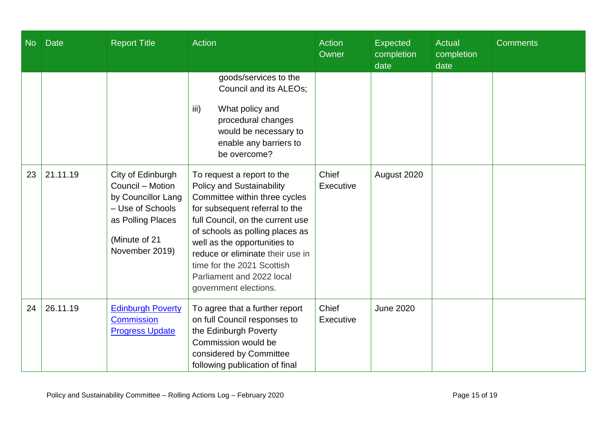| <b>No</b> | <b>Date</b> | <b>Report Title</b>                                                                                                                     | <b>Action</b>                                                                                                                                                                                                                                                                                                                                                    | <b>Action</b><br>Owner | Expected<br>completion<br>date | Actual<br>completion<br>date | <b>Comments</b> |
|-----------|-------------|-----------------------------------------------------------------------------------------------------------------------------------------|------------------------------------------------------------------------------------------------------------------------------------------------------------------------------------------------------------------------------------------------------------------------------------------------------------------------------------------------------------------|------------------------|--------------------------------|------------------------------|-----------------|
|           |             |                                                                                                                                         | goods/services to the<br>Council and its ALEOs;<br>iii)<br>What policy and<br>procedural changes<br>would be necessary to<br>enable any barriers to<br>be overcome?                                                                                                                                                                                              |                        |                                |                              |                 |
| 23        | 21.11.19    | City of Edinburgh<br>Council - Motion<br>by Councillor Lang<br>- Use of Schools<br>as Polling Places<br>(Minute of 21<br>November 2019) | To request a report to the<br><b>Policy and Sustainability</b><br>Committee within three cycles<br>for subsequent referral to the<br>full Council, on the current use<br>of schools as polling places as<br>well as the opportunities to<br>reduce or eliminate their use in<br>time for the 2021 Scottish<br>Parliament and 2022 local<br>government elections. | Chief<br>Executive     | August 2020                    |                              |                 |
| 24        | 26.11.19    | <b>Edinburgh Poverty</b><br><b>Commission</b><br><b>Progress Update</b>                                                                 | To agree that a further report<br>on full Council responses to<br>the Edinburgh Poverty<br>Commission would be<br>considered by Committee<br>following publication of final                                                                                                                                                                                      | Chief<br>Executive     | <b>June 2020</b>               |                              |                 |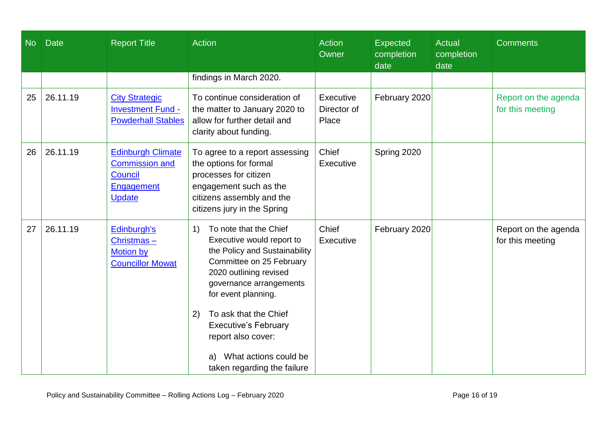| N <sub>o</sub> | <b>Date</b> | <b>Report Title</b>                                                                         | <b>Action</b>                                                                                                                                                                                                                                                                                                                                                                                    | <b>Action</b><br>Owner            | <b>Expected</b><br>completion<br>date | <b>Actual</b><br>completion<br>date | <b>Comments</b>                          |
|----------------|-------------|---------------------------------------------------------------------------------------------|--------------------------------------------------------------------------------------------------------------------------------------------------------------------------------------------------------------------------------------------------------------------------------------------------------------------------------------------------------------------------------------------------|-----------------------------------|---------------------------------------|-------------------------------------|------------------------------------------|
|                |             |                                                                                             | findings in March 2020.                                                                                                                                                                                                                                                                                                                                                                          |                                   |                                       |                                     |                                          |
| 25             | 26.11.19    | <b>City Strategic</b><br><b>Investment Fund -</b><br><b>Powderhall Stables</b>              | To continue consideration of<br>the matter to January 2020 to<br>allow for further detail and<br>clarity about funding.                                                                                                                                                                                                                                                                          | Executive<br>Director of<br>Place | February 2020                         |                                     | Report on the agenda<br>for this meeting |
| 26             | 26.11.19    | <b>Edinburgh Climate</b><br><b>Commission and</b><br>Council<br>Engagement<br><b>Update</b> | To agree to a report assessing<br>the options for formal<br>processes for citizen<br>engagement such as the<br>citizens assembly and the<br>citizens jury in the Spring                                                                                                                                                                                                                          | Chief<br>Executive                | Spring 2020                           |                                     |                                          |
| 27             | 26.11.19    | Edinburgh's<br>Christmas $-$<br><b>Motion by</b><br><b>Councillor Mowat</b>                 | To note that the Chief<br>$\left( \begin{matrix} 1 \end{matrix} \right)$<br>Executive would report to<br>the Policy and Sustainability<br>Committee on 25 February<br>2020 outlining revised<br>governance arrangements<br>for event planning.<br>To ask that the Chief<br>2)<br><b>Executive's February</b><br>report also cover:<br>What actions could be<br>a)<br>taken regarding the failure | Chief<br>Executive                | February 2020                         |                                     | Report on the agenda<br>for this meeting |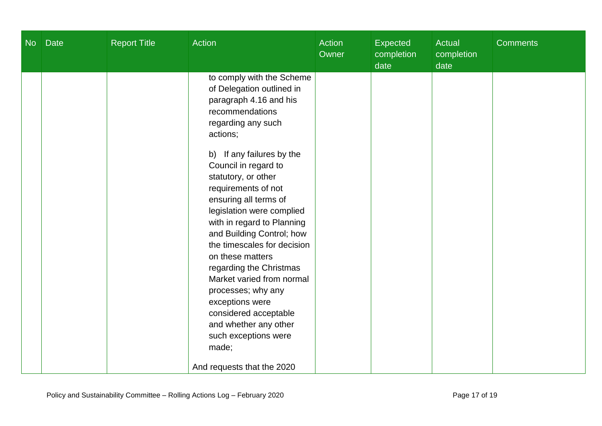| No | <b>Date</b> | <b>Report Title</b> | Action                                                                                                                                                                                                                                                                                                                                                                                                                                                                                                                                                                                                                         | Action<br>Owner | Expected<br>completion<br>date | <b>Actual</b><br>completion<br>date | <b>Comments</b> |
|----|-------------|---------------------|--------------------------------------------------------------------------------------------------------------------------------------------------------------------------------------------------------------------------------------------------------------------------------------------------------------------------------------------------------------------------------------------------------------------------------------------------------------------------------------------------------------------------------------------------------------------------------------------------------------------------------|-----------------|--------------------------------|-------------------------------------|-----------------|
|    |             |                     | to comply with the Scheme<br>of Delegation outlined in<br>paragraph 4.16 and his<br>recommendations<br>regarding any such<br>actions;<br>b) If any failures by the<br>Council in regard to<br>statutory, or other<br>requirements of not<br>ensuring all terms of<br>legislation were complied<br>with in regard to Planning<br>and Building Control; how<br>the timescales for decision<br>on these matters<br>regarding the Christmas<br>Market varied from normal<br>processes; why any<br>exceptions were<br>considered acceptable<br>and whether any other<br>such exceptions were<br>made;<br>And requests that the 2020 |                 |                                |                                     |                 |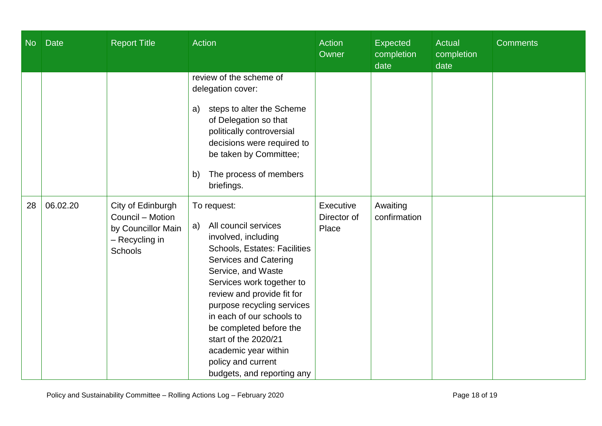| No | <b>Date</b> | <b>Report Title</b>                                                                             | Action                                                                                                                                                                                                                                                                                                                                                                                                      | Action<br>Owner                   | <b>Expected</b><br>completion<br>date | Actual<br>completion<br>date | <b>Comments</b> |
|----|-------------|-------------------------------------------------------------------------------------------------|-------------------------------------------------------------------------------------------------------------------------------------------------------------------------------------------------------------------------------------------------------------------------------------------------------------------------------------------------------------------------------------------------------------|-----------------------------------|---------------------------------------|------------------------------|-----------------|
|    |             |                                                                                                 | review of the scheme of<br>delegation cover:<br>steps to alter the Scheme<br>a)<br>of Delegation so that<br>politically controversial<br>decisions were required to<br>be taken by Committee;<br>The process of members<br>b)<br>briefings.                                                                                                                                                                 |                                   |                                       |                              |                 |
| 28 | 06.02.20    | City of Edinburgh<br>Council - Motion<br>by Councillor Main<br>- Recycling in<br><b>Schools</b> | To request:<br>All council services<br>a)<br>involved, including<br>Schools, Estates: Facilities<br><b>Services and Catering</b><br>Service, and Waste<br>Services work together to<br>review and provide fit for<br>purpose recycling services<br>in each of our schools to<br>be completed before the<br>start of the 2020/21<br>academic year within<br>policy and current<br>budgets, and reporting any | Executive<br>Director of<br>Place | Awaiting<br>confirmation              |                              |                 |